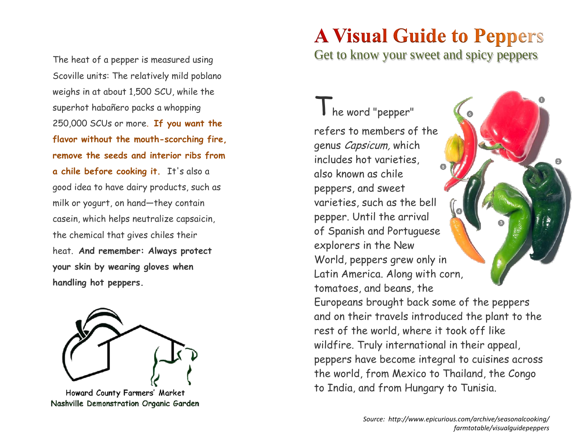The heat of a pepper is measured using Scoville units: The relatively mild poblano weighs in at about 1,500 SCU, while the superhot habañero packs a whopping 250,000 SCUs or more. **If you want the flavor without the mouth-scorching fire, remove the seeds and interior ribs from a chile before cooking it.** It's also a good idea to have dairy products, such as milk or yogurt, on hand—they contain casein, which helps neutralize capsaicin, the chemical that gives chiles their heat. **And remember: Always protect your skin by wearing gloves when handling hot peppers.**



Howard County Farmers' Market Nashville Demonstration Organic Garden

# **A Visual Guide to Peppers**

Get to know your sweet and spicy peppers

The word "pepper" refers to members of the genus Capsicum, which includes hot varieties, also known as chile peppers, and sweet varieties, such as the bell pepper. Until the arrival of Spanish and Portuguese explorers in the New World, peppers grew only in Latin America. Along with corn, tomatoes, and beans, the Europeans brought back some of the peppers and on their travels introduced the plant to the rest of the world, where it took off like wildfire. Truly international in their appeal, peppers have become integral to cuisines across the world, from Mexico to Thailand, the Congo to India, and from Hungary to Tunisia.